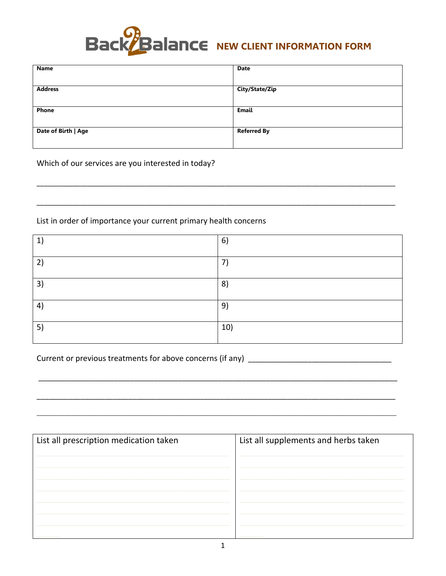

| Name                | <b>Date</b>        |
|---------------------|--------------------|
|                     |                    |
| <b>Address</b>      | City/State/Zip     |
|                     |                    |
| Phone               | Email              |
|                     |                    |
| Date of Birth   Age | <b>Referred By</b> |
|                     |                    |

Which of our services are you interested in today?

List in order of importance your current primary health concerns

| $ 1\rangle$       | 6)  |
|-------------------|-----|
| 2)                | 7)  |
| 3)                | 8)  |
| $\left( 4\right)$ | 9)  |
| 5)                | 10) |

| List all prescription medication taken | List all supplements and herbs taken |
|----------------------------------------|--------------------------------------|
|                                        |                                      |
|                                        |                                      |
|                                        |                                      |
|                                        |                                      |
|                                        |                                      |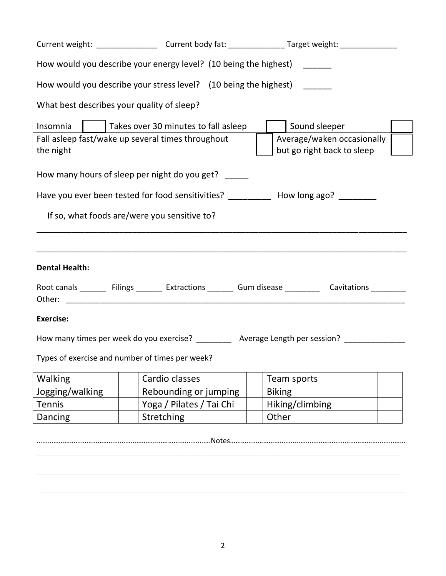|                                                                         |                                               | Current weight: _____________________Current body fat: _______________Target weight: _______________    |  |                            |  |
|-------------------------------------------------------------------------|-----------------------------------------------|---------------------------------------------------------------------------------------------------------|--|----------------------------|--|
| How would you describe your energy level? (10 being the highest) ______ |                                               |                                                                                                         |  |                            |  |
|                                                                         |                                               | How would you describe your stress level? (10 being the highest) ______                                 |  |                            |  |
|                                                                         |                                               | What best describes your quality of sleep?                                                              |  |                            |  |
| Insomnia                                                                |                                               | Takes over 30 minutes to fall asleep                                                                    |  | Sound sleeper              |  |
|                                                                         |                                               | Fall asleep fast/wake up several times throughout                                                       |  | Average/waken occasionally |  |
| the night                                                               |                                               | <u> 1980 - Johann Barbara, martin amerikan personal (</u>                                               |  | but go right back to sleep |  |
|                                                                         | How many hours of sleep per night do you get? |                                                                                                         |  |                            |  |
|                                                                         |                                               | Have you ever been tested for food sensitivities? ___________ How long ago? ________                    |  |                            |  |
|                                                                         |                                               | If so, what foods are/were you sensitive to?                                                            |  |                            |  |
|                                                                         |                                               |                                                                                                         |  |                            |  |
| <b>Dental Health:</b>                                                   |                                               |                                                                                                         |  |                            |  |
|                                                                         |                                               | Root canals ________ Filings ________ Extractions ________ Gum disease __________ Cavitations _________ |  |                            |  |
|                                                                         |                                               |                                                                                                         |  |                            |  |
| <b>Exercise:</b>                                                        |                                               |                                                                                                         |  |                            |  |
|                                                                         |                                               | How many times per week do you exercise? __________ Average Length per session? _______________         |  |                            |  |
|                                                                         |                                               | Types of exercise and number of times per week?                                                         |  |                            |  |
| Walking                                                                 |                                               | Cardio classes                                                                                          |  | Team sports                |  |
| Jogging/walking                                                         |                                               | Rebounding or jumping                                                                                   |  | <b>Biking</b>              |  |
| <b>Tennis</b>                                                           |                                               | Yoga / Pilates / Tai Chi                                                                                |  | Hiking/climbing            |  |
| Dancing                                                                 |                                               | Stretching                                                                                              |  | Other                      |  |

………………………………………………………..………….…………….Notes………………………………..…………………………………………………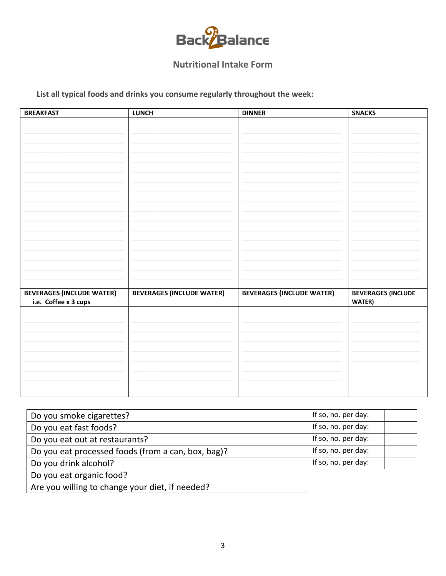

## **Nutritional Intake Form**

List all typical foods and drinks you consume regularly throughout the week:

| <b>BREAKFAST</b>                 | <b>LUNCH</b>                     | <b>DINNER</b>                    | <b>SNACKS</b>             |
|----------------------------------|----------------------------------|----------------------------------|---------------------------|
|                                  |                                  |                                  |                           |
|                                  |                                  |                                  |                           |
|                                  |                                  |                                  |                           |
|                                  |                                  |                                  |                           |
|                                  |                                  |                                  |                           |
|                                  |                                  |                                  |                           |
|                                  |                                  |                                  |                           |
|                                  |                                  |                                  |                           |
|                                  |                                  |                                  |                           |
|                                  |                                  |                                  |                           |
|                                  |                                  |                                  |                           |
|                                  |                                  |                                  |                           |
|                                  |                                  |                                  |                           |
|                                  |                                  |                                  |                           |
|                                  |                                  |                                  |                           |
|                                  |                                  |                                  |                           |
| <b>BEVERAGES (INCLUDE WATER)</b> | <b>BEVERAGES (INCLUDE WATER)</b> | <b>BEVERAGES (INCLUDE WATER)</b> | <b>BEVERAGES (INCLUDE</b> |
| i.e. Coffee x 3 cups             |                                  |                                  | WATER)                    |
|                                  |                                  |                                  |                           |
|                                  |                                  |                                  |                           |
|                                  |                                  |                                  |                           |
|                                  |                                  |                                  |                           |
|                                  |                                  |                                  |                           |
|                                  |                                  |                                  |                           |
|                                  |                                  |                                  |                           |
|                                  |                                  |                                  |                           |
|                                  |                                  |                                  |                           |

| Do you smoke cigarettes?                           | If so, no. per day: |  |
|----------------------------------------------------|---------------------|--|
| Do you eat fast foods?                             | If so, no. per day: |  |
| Do you eat out at restaurants?                     | If so, no. per day: |  |
| Do you eat processed foods (from a can, box, bag)? | If so, no. per day: |  |
| Do you drink alcohol?                              | If so, no. per day: |  |
| Do you eat organic food?                           |                     |  |
| Are you willing to change your diet, if needed?    |                     |  |